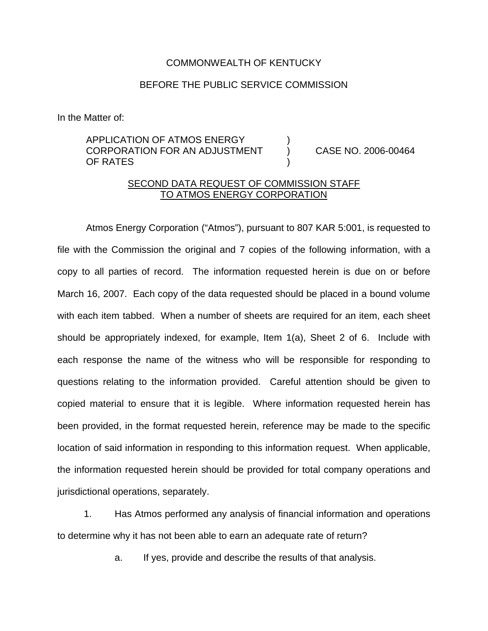## COMMONWEALTH OF KENTUCKY

## BEFORE THE PUBLIC SERVICE COMMISSION

In the Matter of:

## APPLICATION OF ATMOS ENERGY ) CORPORATION FOR AN ADJUSTMENT ) CASE NO. 2006-00464 OF RATES

## SECOND DATA REQUEST OF COMMISSION STAFF TO ATMOS ENERGY CORPORATION

Atmos Energy Corporation ("Atmos"), pursuant to 807 KAR 5:001, is requested to file with the Commission the original and 7 copies of the following information, with a copy to all parties of record. The information requested herein is due on or before March 16, 2007. Each copy of the data requested should be placed in a bound volume with each item tabbed. When a number of sheets are required for an item, each sheet should be appropriately indexed, for example, Item 1(a), Sheet 2 of 6. Include with each response the name of the witness who will be responsible for responding to questions relating to the information provided. Careful attention should be given to copied material to ensure that it is legible. Where information requested herein has been provided, in the format requested herein, reference may be made to the specific location of said information in responding to this information request. When applicable, the information requested herein should be provided for total company operations and jurisdictional operations, separately.

1. Has Atmos performed any analysis of financial information and operations to determine why it has not been able to earn an adequate rate of return?

a. If yes, provide and describe the results of that analysis.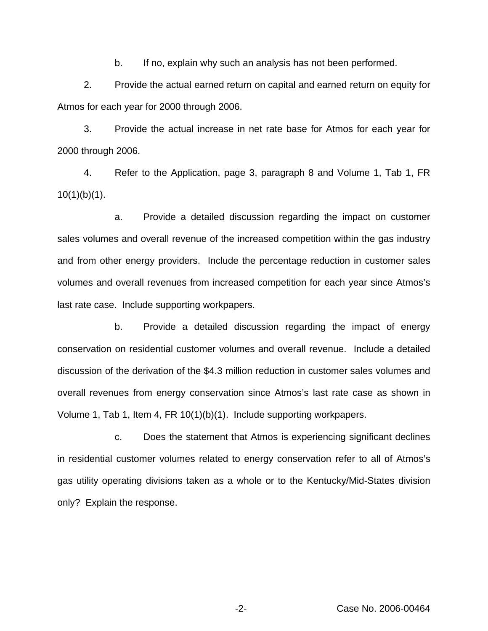b. If no, explain why such an analysis has not been performed.

2. Provide the actual earned return on capital and earned return on equity for Atmos for each year for 2000 through 2006.

3. Provide the actual increase in net rate base for Atmos for each year for 2000 through 2006.

4. Refer to the Application, page 3, paragraph 8 and Volume 1, Tab 1, FR  $10(1)(b)(1)$ .

a. Provide a detailed discussion regarding the impact on customer sales volumes and overall revenue of the increased competition within the gas industry and from other energy providers. Include the percentage reduction in customer sales volumes and overall revenues from increased competition for each year since Atmos's last rate case. Include supporting workpapers.

b. Provide a detailed discussion regarding the impact of energy conservation on residential customer volumes and overall revenue. Include a detailed discussion of the derivation of the \$4.3 million reduction in customer sales volumes and overall revenues from energy conservation since Atmos's last rate case as shown in Volume 1, Tab 1, Item 4, FR 10(1)(b)(1). Include supporting workpapers.

c. Does the statement that Atmos is experiencing significant declines in residential customer volumes related to energy conservation refer to all of Atmos's gas utility operating divisions taken as a whole or to the Kentucky/Mid-States division only? Explain the response.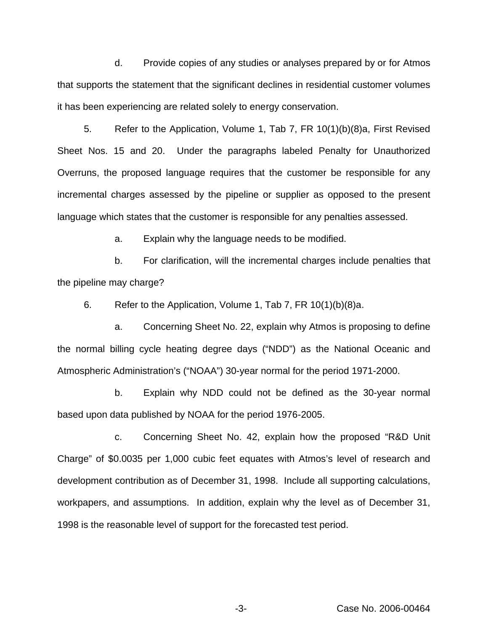d. Provide copies of any studies or analyses prepared by or for Atmos that supports the statement that the significant declines in residential customer volumes it has been experiencing are related solely to energy conservation.

5. Refer to the Application, Volume 1, Tab 7, FR 10(1)(b)(8)a, First Revised Sheet Nos. 15 and 20. Under the paragraphs labeled Penalty for Unauthorized Overruns, the proposed language requires that the customer be responsible for any incremental charges assessed by the pipeline or supplier as opposed to the present language which states that the customer is responsible for any penalties assessed.

a. Explain why the language needs to be modified.

b. For clarification, will the incremental charges include penalties that the pipeline may charge?

6. Refer to the Application, Volume 1, Tab 7, FR 10(1)(b)(8)a.

a. Concerning Sheet No. 22, explain why Atmos is proposing to define the normal billing cycle heating degree days ("NDD") as the National Oceanic and Atmospheric Administration's ("NOAA") 30-year normal for the period 1971-2000.

b. Explain why NDD could not be defined as the 30-year normal based upon data published by NOAA for the period 1976-2005.

c. Concerning Sheet No. 42, explain how the proposed "R&D Unit Charge" of \$0.0035 per 1,000 cubic feet equates with Atmos's level of research and development contribution as of December 31, 1998. Include all supporting calculations, workpapers, and assumptions. In addition, explain why the level as of December 31, 1998 is the reasonable level of support for the forecasted test period.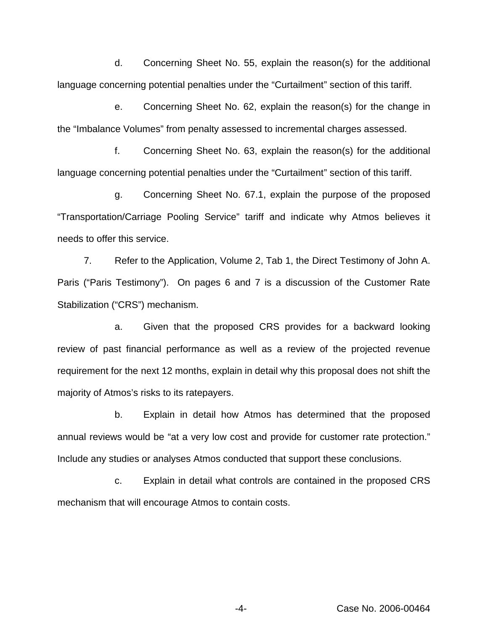d. Concerning Sheet No. 55, explain the reason(s) for the additional language concerning potential penalties under the "Curtailment" section of this tariff.

e. Concerning Sheet No. 62, explain the reason(s) for the change in the "Imbalance Volumes" from penalty assessed to incremental charges assessed.

f. Concerning Sheet No. 63, explain the reason(s) for the additional language concerning potential penalties under the "Curtailment" section of this tariff.

g. Concerning Sheet No. 67.1, explain the purpose of the proposed "Transportation/Carriage Pooling Service" tariff and indicate why Atmos believes it needs to offer this service.

7. Refer to the Application, Volume 2, Tab 1, the Direct Testimony of John A. Paris ("Paris Testimony"). On pages 6 and 7 is a discussion of the Customer Rate Stabilization ("CRS") mechanism.

a. Given that the proposed CRS provides for a backward looking review of past financial performance as well as a review of the projected revenue requirement for the next 12 months, explain in detail why this proposal does not shift the majority of Atmos's risks to its ratepayers.

b. Explain in detail how Atmos has determined that the proposed annual reviews would be "at a very low cost and provide for customer rate protection." Include any studies or analyses Atmos conducted that support these conclusions.

c. Explain in detail what controls are contained in the proposed CRS mechanism that will encourage Atmos to contain costs.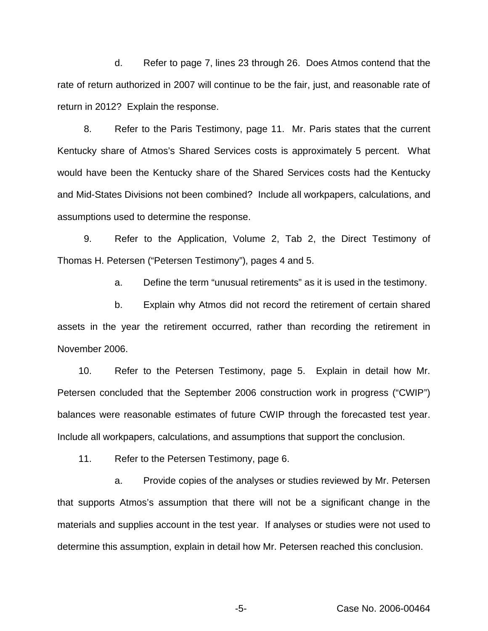d. Refer to page 7, lines 23 through 26. Does Atmos contend that the rate of return authorized in 2007 will continue to be the fair, just, and reasonable rate of return in 2012? Explain the response.

8. Refer to the Paris Testimony, page 11. Mr. Paris states that the current Kentucky share of Atmos's Shared Services costs is approximately 5 percent. What would have been the Kentucky share of the Shared Services costs had the Kentucky and Mid-States Divisions not been combined? Include all workpapers, calculations, and assumptions used to determine the response.

9. Refer to the Application, Volume 2, Tab 2, the Direct Testimony of Thomas H. Petersen ("Petersen Testimony"), pages 4 and 5.

a. Define the term "unusual retirements" as it is used in the testimony.

b. Explain why Atmos did not record the retirement of certain shared assets in the year the retirement occurred, rather than recording the retirement in November 2006.

10. Refer to the Petersen Testimony, page 5. Explain in detail how Mr. Petersen concluded that the September 2006 construction work in progress ("CWIP") balances were reasonable estimates of future CWIP through the forecasted test year. Include all workpapers, calculations, and assumptions that support the conclusion.

11. Refer to the Petersen Testimony, page 6.

a. Provide copies of the analyses or studies reviewed by Mr. Petersen that supports Atmos's assumption that there will not be a significant change in the materials and supplies account in the test year. If analyses or studies were not used to determine this assumption, explain in detail how Mr. Petersen reached this conclusion.

-5- Case No. 2006-00464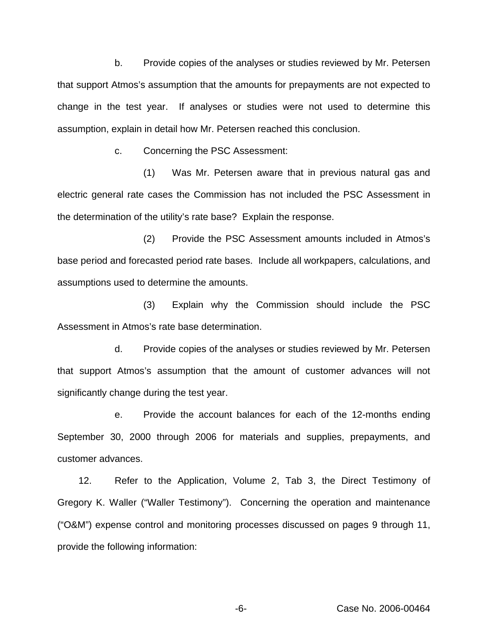b. Provide copies of the analyses or studies reviewed by Mr. Petersen that support Atmos's assumption that the amounts for prepayments are not expected to change in the test year. If analyses or studies were not used to determine this assumption, explain in detail how Mr. Petersen reached this conclusion.

c. Concerning the PSC Assessment:

(1) Was Mr. Petersen aware that in previous natural gas and electric general rate cases the Commission has not included the PSC Assessment in the determination of the utility's rate base? Explain the response.

(2) Provide the PSC Assessment amounts included in Atmos's base period and forecasted period rate bases. Include all workpapers, calculations, and assumptions used to determine the amounts.

(3) Explain why the Commission should include the PSC Assessment in Atmos's rate base determination.

d. Provide copies of the analyses or studies reviewed by Mr. Petersen that support Atmos's assumption that the amount of customer advances will not significantly change during the test year.

e. Provide the account balances for each of the 12-months ending September 30, 2000 through 2006 for materials and supplies, prepayments, and customer advances.

12. Refer to the Application, Volume 2, Tab 3, the Direct Testimony of Gregory K. Waller ("Waller Testimony"). Concerning the operation and maintenance ("O&M") expense control and monitoring processes discussed on pages 9 through 11, provide the following information: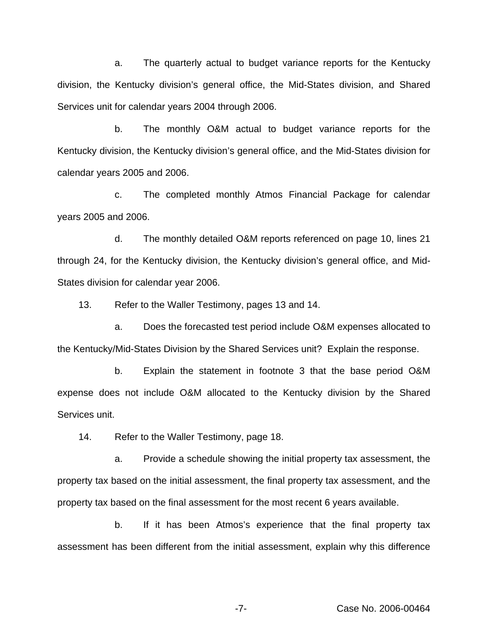a. The quarterly actual to budget variance reports for the Kentucky division, the Kentucky division's general office, the Mid-States division, and Shared Services unit for calendar years 2004 through 2006.

b. The monthly O&M actual to budget variance reports for the Kentucky division, the Kentucky division's general office, and the Mid-States division for calendar years 2005 and 2006.

c. The completed monthly Atmos Financial Package for calendar years 2005 and 2006.

d. The monthly detailed O&M reports referenced on page 10, lines 21 through 24, for the Kentucky division, the Kentucky division's general office, and Mid-States division for calendar year 2006.

13. Refer to the Waller Testimony, pages 13 and 14.

a. Does the forecasted test period include O&M expenses allocated to the Kentucky/Mid-States Division by the Shared Services unit? Explain the response.

b. Explain the statement in footnote 3 that the base period O&M expense does not include O&M allocated to the Kentucky division by the Shared Services unit.

14. Refer to the Waller Testimony, page 18.

a. Provide a schedule showing the initial property tax assessment, the property tax based on the initial assessment, the final property tax assessment, and the property tax based on the final assessment for the most recent 6 years available.

b. If it has been Atmos's experience that the final property tax assessment has been different from the initial assessment, explain why this difference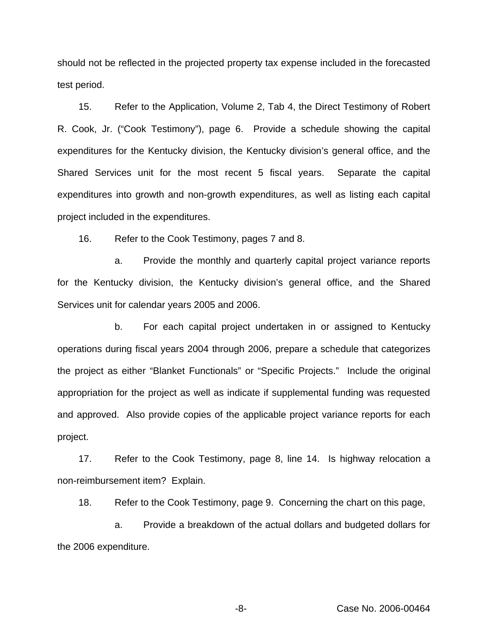should not be reflected in the projected property tax expense included in the forecasted test period.

15. Refer to the Application, Volume 2, Tab 4, the Direct Testimony of Robert R. Cook, Jr. ("Cook Testimony"), page 6. Provide a schedule showing the capital expenditures for the Kentucky division, the Kentucky division's general office, and the Shared Services unit for the most recent 5 fiscal years. Separate the capital expenditures into growth and non-growth expenditures, as well as listing each capital project included in the expenditures.

16. Refer to the Cook Testimony, pages 7 and 8.

a. Provide the monthly and quarterly capital project variance reports for the Kentucky division, the Kentucky division's general office, and the Shared Services unit for calendar years 2005 and 2006.

b. For each capital project undertaken in or assigned to Kentucky operations during fiscal years 2004 through 2006, prepare a schedule that categorizes the project as either "Blanket Functionals" or "Specific Projects." Include the original appropriation for the project as well as indicate if supplemental funding was requested and approved. Also provide copies of the applicable project variance reports for each project.

17. Refer to the Cook Testimony, page 8, line 14. Is highway relocation a non-reimbursement item? Explain.

18. Refer to the Cook Testimony, page 9. Concerning the chart on this page,

a. Provide a breakdown of the actual dollars and budgeted dollars for the 2006 expenditure.

-8- Case No. 2006-00464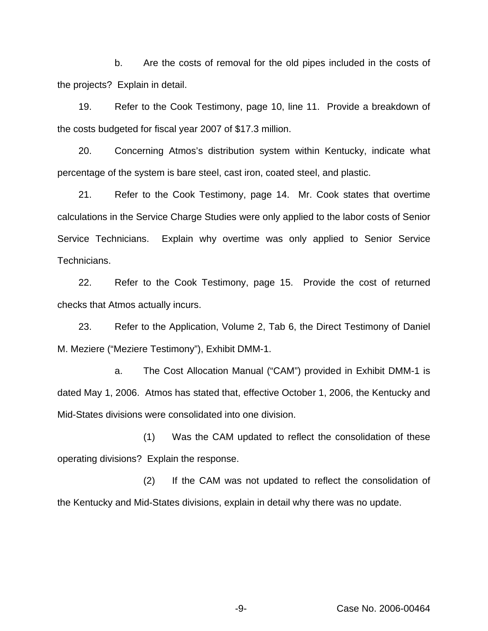b. Are the costs of removal for the old pipes included in the costs of the projects? Explain in detail.

19. Refer to the Cook Testimony, page 10, line 11. Provide a breakdown of the costs budgeted for fiscal year 2007 of \$17.3 million.

20. Concerning Atmos's distribution system within Kentucky, indicate what percentage of the system is bare steel, cast iron, coated steel, and plastic.

21. Refer to the Cook Testimony, page 14. Mr. Cook states that overtime calculations in the Service Charge Studies were only applied to the labor costs of Senior Service Technicians. Explain why overtime was only applied to Senior Service Technicians.

22. Refer to the Cook Testimony, page 15. Provide the cost of returned checks that Atmos actually incurs.

23. Refer to the Application, Volume 2, Tab 6, the Direct Testimony of Daniel M. Meziere ("Meziere Testimony"), Exhibit DMM-1.

a. The Cost Allocation Manual ("CAM") provided in Exhibit DMM-1 is dated May 1, 2006. Atmos has stated that, effective October 1, 2006, the Kentucky and Mid-States divisions were consolidated into one division.

(1) Was the CAM updated to reflect the consolidation of these operating divisions? Explain the response.

(2) If the CAM was not updated to reflect the consolidation of the Kentucky and Mid-States divisions, explain in detail why there was no update.

-9- Case No. 2006-00464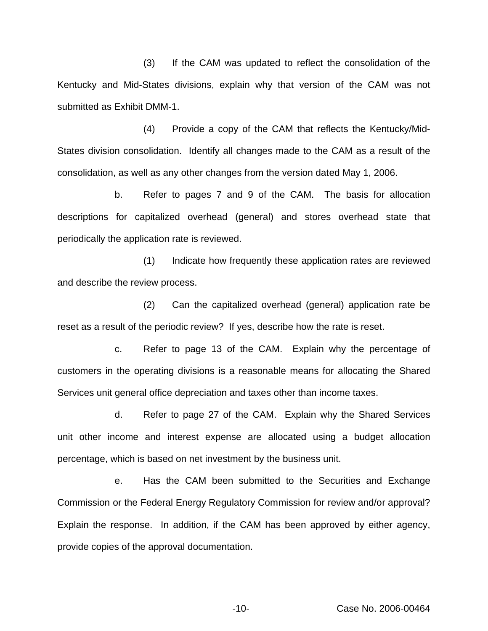(3) If the CAM was updated to reflect the consolidation of the Kentucky and Mid-States divisions, explain why that version of the CAM was not submitted as Exhibit DMM-1.

(4) Provide a copy of the CAM that reflects the Kentucky/Mid-States division consolidation. Identify all changes made to the CAM as a result of the consolidation, as well as any other changes from the version dated May 1, 2006.

b. Refer to pages 7 and 9 of the CAM. The basis for allocation descriptions for capitalized overhead (general) and stores overhead state that periodically the application rate is reviewed.

(1) Indicate how frequently these application rates are reviewed and describe the review process.

(2) Can the capitalized overhead (general) application rate be reset as a result of the periodic review? If yes, describe how the rate is reset.

c. Refer to page 13 of the CAM. Explain why the percentage of customers in the operating divisions is a reasonable means for allocating the Shared Services unit general office depreciation and taxes other than income taxes.

d. Refer to page 27 of the CAM. Explain why the Shared Services unit other income and interest expense are allocated using a budget allocation percentage, which is based on net investment by the business unit.

e. Has the CAM been submitted to the Securities and Exchange Commission or the Federal Energy Regulatory Commission for review and/or approval? Explain the response. In addition, if the CAM has been approved by either agency, provide copies of the approval documentation.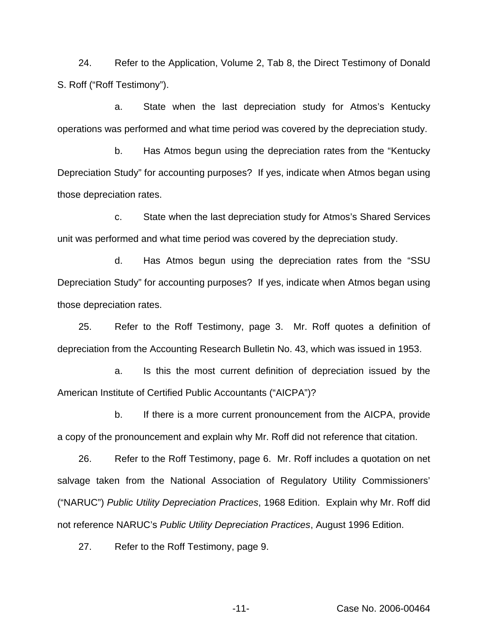24. Refer to the Application, Volume 2, Tab 8, the Direct Testimony of Donald S. Roff ("Roff Testimony").

a. State when the last depreciation study for Atmos's Kentucky operations was performed and what time period was covered by the depreciation study.

b. Has Atmos begun using the depreciation rates from the "Kentucky Depreciation Study" for accounting purposes? If yes, indicate when Atmos began using those depreciation rates.

c. State when the last depreciation study for Atmos's Shared Services unit was performed and what time period was covered by the depreciation study.

d. Has Atmos begun using the depreciation rates from the "SSU Depreciation Study" for accounting purposes? If yes, indicate when Atmos began using those depreciation rates.

25. Refer to the Roff Testimony, page 3. Mr. Roff quotes a definition of depreciation from the Accounting Research Bulletin No. 43, which was issued in 1953.

a. Is this the most current definition of depreciation issued by the American Institute of Certified Public Accountants ("AICPA")?

b. If there is a more current pronouncement from the AICPA, provide a copy of the pronouncement and explain why Mr. Roff did not reference that citation.

26. Refer to the Roff Testimony, page 6. Mr. Roff includes a quotation on net salvage taken from the National Association of Regulatory Utility Commissioners' ("NARUC") *Public Utility Depreciation Practices*, 1968 Edition. Explain why Mr. Roff did not reference NARUC's *Public Utility Depreciation Practices*, August 1996 Edition.

27. Refer to the Roff Testimony, page 9.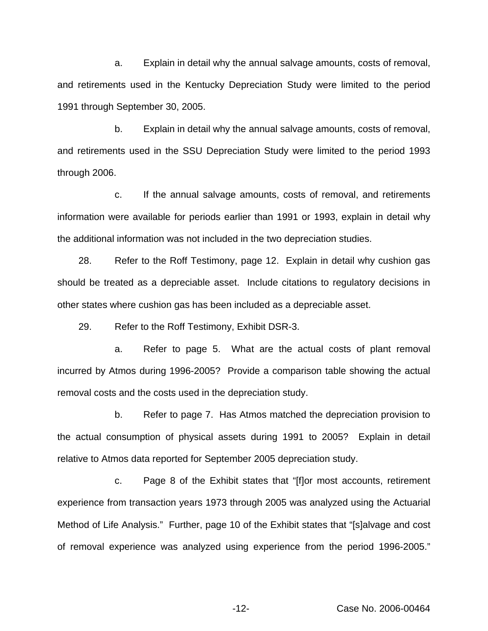a. Explain in detail why the annual salvage amounts, costs of removal, and retirements used in the Kentucky Depreciation Study were limited to the period 1991 through September 30, 2005.

b. Explain in detail why the annual salvage amounts, costs of removal, and retirements used in the SSU Depreciation Study were limited to the period 1993 through 2006.

c. If the annual salvage amounts, costs of removal, and retirements information were available for periods earlier than 1991 or 1993, explain in detail why the additional information was not included in the two depreciation studies.

28. Refer to the Roff Testimony, page 12. Explain in detail why cushion gas should be treated as a depreciable asset. Include citations to regulatory decisions in other states where cushion gas has been included as a depreciable asset.

29. Refer to the Roff Testimony, Exhibit DSR-3.

a. Refer to page 5. What are the actual costs of plant removal incurred by Atmos during 1996-2005? Provide a comparison table showing the actual removal costs and the costs used in the depreciation study.

b. Refer to page 7. Has Atmos matched the depreciation provision to the actual consumption of physical assets during 1991 to 2005? Explain in detail relative to Atmos data reported for September 2005 depreciation study.

c. Page 8 of the Exhibit states that "[f]or most accounts, retirement experience from transaction years 1973 through 2005 was analyzed using the Actuarial Method of Life Analysis." Further, page 10 of the Exhibit states that "[s]alvage and cost of removal experience was analyzed using experience from the period 1996-2005."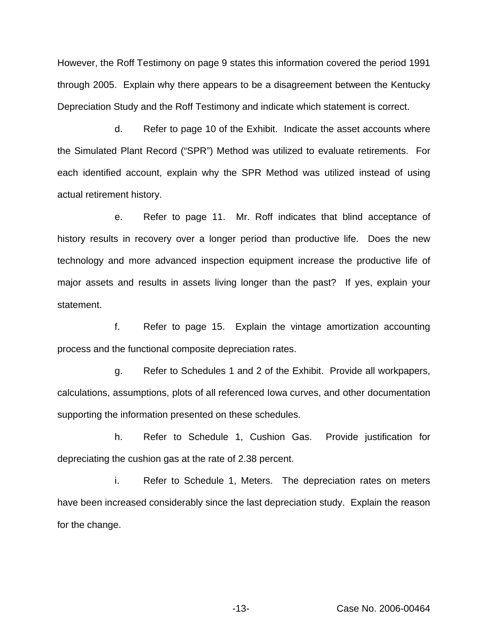However, the Roff Testimony on page 9 states this information covered the period 1991 through 2005. Explain why there appears to be a disagreement between the Kentucky Depreciation Study and the Roff Testimony and indicate which statement is correct.

d. Refer to page 10 of the Exhibit. Indicate the asset accounts where the Simulated Plant Record ("SPR") Method was utilized to evaluate retirements. For each identified account, explain why the SPR Method was utilized instead of using actual retirement history.

e. Refer to page 11. Mr. Roff indicates that blind acceptance of history results in recovery over a longer period than productive life. Does the new technology and more advanced inspection equipment increase the productive life of major assets and results in assets living longer than the past? If yes, explain your statement.

f. Refer to page 15. Explain the vintage amortization accounting process and the functional composite depreciation rates.

g. Refer to Schedules 1 and 2 of the Exhibit. Provide all workpapers, calculations, assumptions, plots of all referenced Iowa curves, and other documentation supporting the information presented on these schedules.

h. Refer to Schedule 1, Cushion Gas. Provide justification for depreciating the cushion gas at the rate of 2.38 percent.

i. Refer to Schedule 1, Meters. The depreciation rates on meters have been increased considerably since the last depreciation study. Explain the reason for the change.

-13- Case No. 2006-00464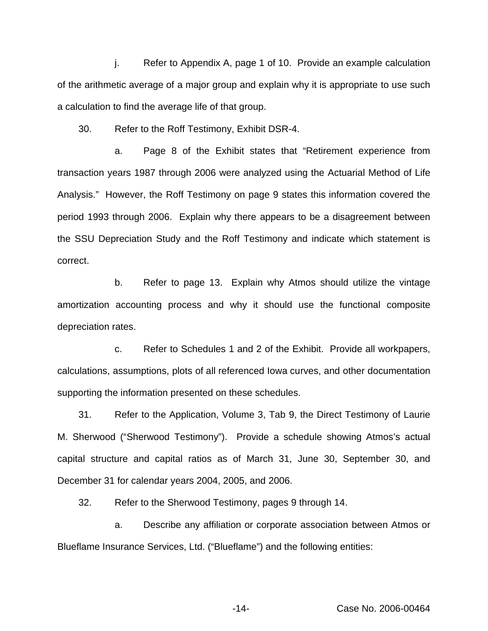j. Refer to Appendix A, page 1 of 10. Provide an example calculation of the arithmetic average of a major group and explain why it is appropriate to use such a calculation to find the average life of that group.

30. Refer to the Roff Testimony, Exhibit DSR-4.

a. Page 8 of the Exhibit states that "Retirement experience from transaction years 1987 through 2006 were analyzed using the Actuarial Method of Life Analysis." However, the Roff Testimony on page 9 states this information covered the period 1993 through 2006. Explain why there appears to be a disagreement between the SSU Depreciation Study and the Roff Testimony and indicate which statement is correct.

b. Refer to page 13. Explain why Atmos should utilize the vintage amortization accounting process and why it should use the functional composite depreciation rates.

c. Refer to Schedules 1 and 2 of the Exhibit. Provide all workpapers, calculations, assumptions, plots of all referenced Iowa curves, and other documentation supporting the information presented on these schedules.

31. Refer to the Application, Volume 3, Tab 9, the Direct Testimony of Laurie M. Sherwood ("Sherwood Testimony"). Provide a schedule showing Atmos's actual capital structure and capital ratios as of March 31, June 30, September 30, and December 31 for calendar years 2004, 2005, and 2006.

32. Refer to the Sherwood Testimony, pages 9 through 14.

a. Describe any affiliation or corporate association between Atmos or Blueflame Insurance Services, Ltd. ("Blueflame") and the following entities:

-14- Case No. 2006-00464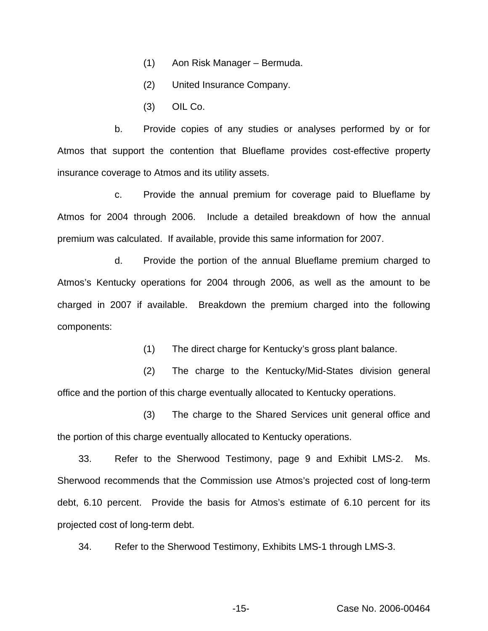- (1) Aon Risk Manager Bermuda.
- (2) United Insurance Company.
- (3) OIL Co.

b. Provide copies of any studies or analyses performed by or for Atmos that support the contention that Blueflame provides cost-effective property insurance coverage to Atmos and its utility assets.

c. Provide the annual premium for coverage paid to Blueflame by Atmos for 2004 through 2006. Include a detailed breakdown of how the annual premium was calculated. If available, provide this same information for 2007.

d. Provide the portion of the annual Blueflame premium charged to Atmos's Kentucky operations for 2004 through 2006, as well as the amount to be charged in 2007 if available. Breakdown the premium charged into the following components:

(1) The direct charge for Kentucky's gross plant balance.

(2) The charge to the Kentucky/Mid-States division general office and the portion of this charge eventually allocated to Kentucky operations.

(3) The charge to the Shared Services unit general office and the portion of this charge eventually allocated to Kentucky operations.

33. Refer to the Sherwood Testimony, page 9 and Exhibit LMS-2. Ms. Sherwood recommends that the Commission use Atmos's projected cost of long-term debt, 6.10 percent. Provide the basis for Atmos's estimate of 6.10 percent for its projected cost of long-term debt.

34. Refer to the Sherwood Testimony, Exhibits LMS-1 through LMS-3.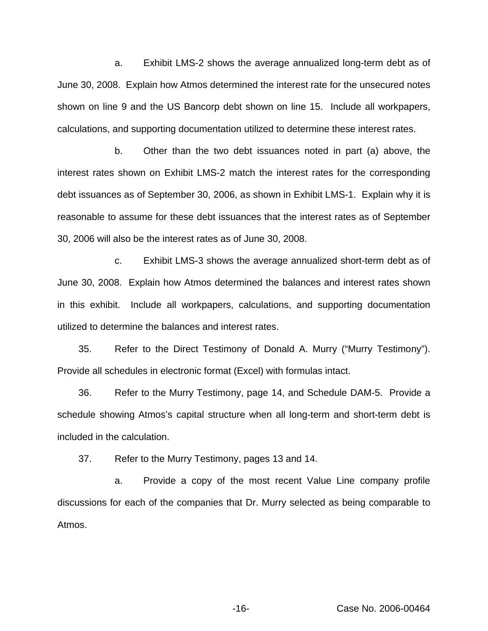a. Exhibit LMS-2 shows the average annualized long-term debt as of June 30, 2008. Explain how Atmos determined the interest rate for the unsecured notes shown on line 9 and the US Bancorp debt shown on line 15. Include all workpapers, calculations, and supporting documentation utilized to determine these interest rates.

b. Other than the two debt issuances noted in part (a) above, the interest rates shown on Exhibit LMS-2 match the interest rates for the corresponding debt issuances as of September 30, 2006, as shown in Exhibit LMS-1. Explain why it is reasonable to assume for these debt issuances that the interest rates as of September 30, 2006 will also be the interest rates as of June 30, 2008.

c. Exhibit LMS-3 shows the average annualized short-term debt as of June 30, 2008. Explain how Atmos determined the balances and interest rates shown in this exhibit. Include all workpapers, calculations, and supporting documentation utilized to determine the balances and interest rates.

35. Refer to the Direct Testimony of Donald A. Murry ("Murry Testimony"). Provide all schedules in electronic format (Excel) with formulas intact.

36. Refer to the Murry Testimony, page 14, and Schedule DAM-5. Provide a schedule showing Atmos's capital structure when all long-term and short-term debt is included in the calculation.

37. Refer to the Murry Testimony, pages 13 and 14.

a. Provide a copy of the most recent Value Line company profile discussions for each of the companies that Dr. Murry selected as being comparable to Atmos.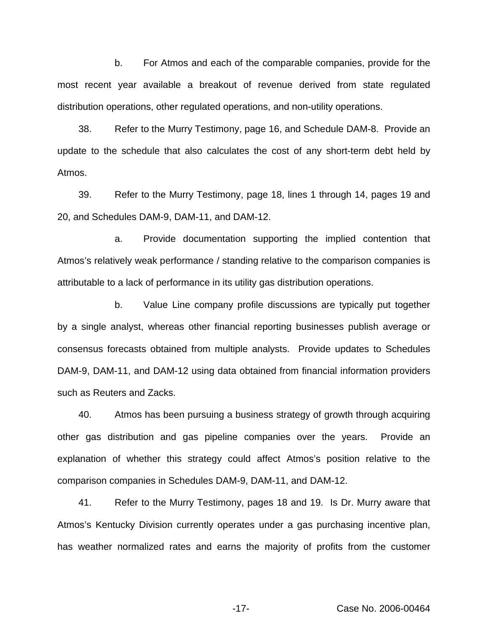b. For Atmos and each of the comparable companies, provide for the most recent year available a breakout of revenue derived from state regulated distribution operations, other regulated operations, and non-utility operations.

38. Refer to the Murry Testimony, page 16, and Schedule DAM-8. Provide an update to the schedule that also calculates the cost of any short-term debt held by Atmos.

39. Refer to the Murry Testimony, page 18, lines 1 through 14, pages 19 and 20, and Schedules DAM-9, DAM-11, and DAM-12.

a. Provide documentation supporting the implied contention that Atmos's relatively weak performance / standing relative to the comparison companies is attributable to a lack of performance in its utility gas distribution operations.

b. Value Line company profile discussions are typically put together by a single analyst, whereas other financial reporting businesses publish average or consensus forecasts obtained from multiple analysts. Provide updates to Schedules DAM-9, DAM-11, and DAM-12 using data obtained from financial information providers such as Reuters and Zacks.

40. Atmos has been pursuing a business strategy of growth through acquiring other gas distribution and gas pipeline companies over the years. Provide an explanation of whether this strategy could affect Atmos's position relative to the comparison companies in Schedules DAM-9, DAM-11, and DAM-12.

41. Refer to the Murry Testimony, pages 18 and 19. Is Dr. Murry aware that Atmos's Kentucky Division currently operates under a gas purchasing incentive plan, has weather normalized rates and earns the majority of profits from the customer

-17- Case No. 2006-00464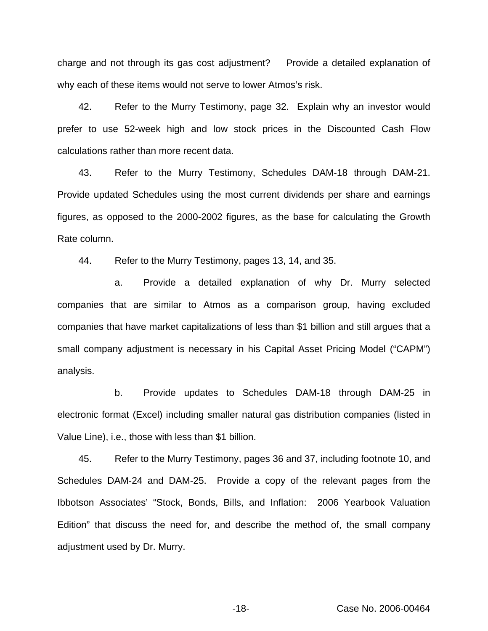charge and not through its gas cost adjustment? Provide a detailed explanation of why each of these items would not serve to lower Atmos's risk.

42. Refer to the Murry Testimony, page 32. Explain why an investor would prefer to use 52-week high and low stock prices in the Discounted Cash Flow calculations rather than more recent data.

43. Refer to the Murry Testimony, Schedules DAM-18 through DAM-21. Provide updated Schedules using the most current dividends per share and earnings figures, as opposed to the 2000-2002 figures, as the base for calculating the Growth Rate column.

44. Refer to the Murry Testimony, pages 13, 14, and 35.

a. Provide a detailed explanation of why Dr. Murry selected companies that are similar to Atmos as a comparison group, having excluded companies that have market capitalizations of less than \$1 billion and still argues that a small company adjustment is necessary in his Capital Asset Pricing Model ("CAPM") analysis.

b. Provide updates to Schedules DAM-18 through DAM-25 in electronic format (Excel) including smaller natural gas distribution companies (listed in Value Line), i.e., those with less than \$1 billion.

45. Refer to the Murry Testimony, pages 36 and 37, including footnote 10, and Schedules DAM-24 and DAM-25. Provide a copy of the relevant pages from the Ibbotson Associates' "Stock, Bonds, Bills, and Inflation: 2006 Yearbook Valuation Edition" that discuss the need for, and describe the method of, the small company adjustment used by Dr. Murry.

-18- Case No. 2006-00464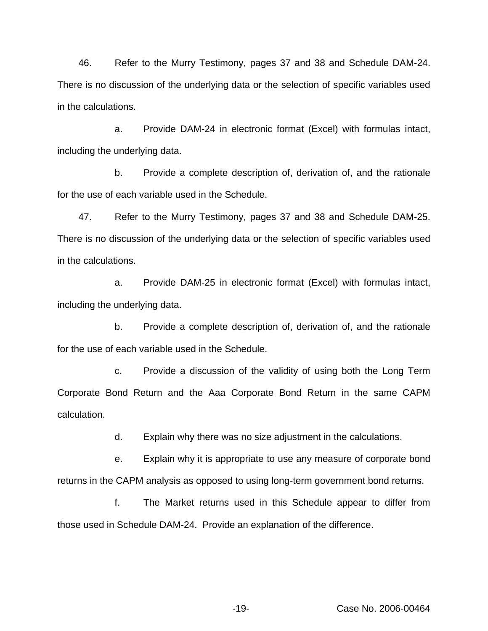46. Refer to the Murry Testimony, pages 37 and 38 and Schedule DAM-24. There is no discussion of the underlying data or the selection of specific variables used in the calculations.

a. Provide DAM-24 in electronic format (Excel) with formulas intact, including the underlying data.

b. Provide a complete description of, derivation of, and the rationale for the use of each variable used in the Schedule.

47. Refer to the Murry Testimony, pages 37 and 38 and Schedule DAM-25. There is no discussion of the underlying data or the selection of specific variables used in the calculations.

a. Provide DAM-25 in electronic format (Excel) with formulas intact, including the underlying data.

b. Provide a complete description of, derivation of, and the rationale for the use of each variable used in the Schedule.

c. Provide a discussion of the validity of using both the Long Term Corporate Bond Return and the Aaa Corporate Bond Return in the same CAPM calculation.

d. Explain why there was no size adjustment in the calculations.

e. Explain why it is appropriate to use any measure of corporate bond returns in the CAPM analysis as opposed to using long-term government bond returns.

f. The Market returns used in this Schedule appear to differ from those used in Schedule DAM-24. Provide an explanation of the difference.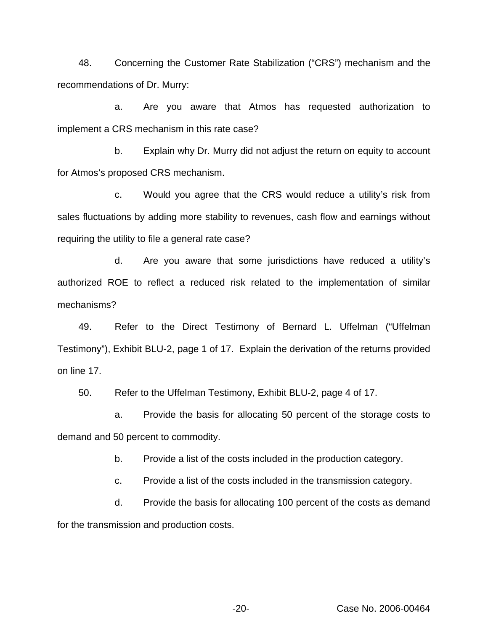48. Concerning the Customer Rate Stabilization ("CRS") mechanism and the recommendations of Dr. Murry:

a. Are you aware that Atmos has requested authorization to implement a CRS mechanism in this rate case?

b. Explain why Dr. Murry did not adjust the return on equity to account for Atmos's proposed CRS mechanism.

c. Would you agree that the CRS would reduce a utility's risk from sales fluctuations by adding more stability to revenues, cash flow and earnings without requiring the utility to file a general rate case?

d. Are you aware that some jurisdictions have reduced a utility's authorized ROE to reflect a reduced risk related to the implementation of similar mechanisms?

49. Refer to the Direct Testimony of Bernard L. Uffelman ("Uffelman Testimony"), Exhibit BLU-2, page 1 of 17. Explain the derivation of the returns provided on line 17.

50. Refer to the Uffelman Testimony, Exhibit BLU-2, page 4 of 17.

a. Provide the basis for allocating 50 percent of the storage costs to demand and 50 percent to commodity.

b. Provide a list of the costs included in the production category.

c. Provide a list of the costs included in the transmission category.

d. Provide the basis for allocating 100 percent of the costs as demand for the transmission and production costs.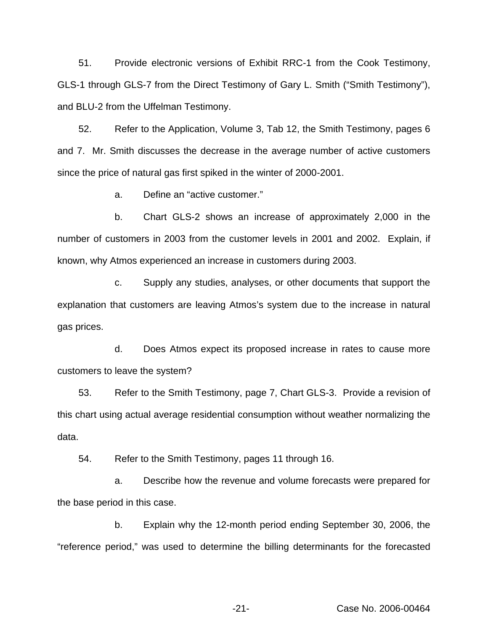51. Provide electronic versions of Exhibit RRC-1 from the Cook Testimony, GLS-1 through GLS-7 from the Direct Testimony of Gary L. Smith ("Smith Testimony"), and BLU-2 from the Uffelman Testimony.

52. Refer to the Application, Volume 3, Tab 12, the Smith Testimony, pages 6 and 7. Mr. Smith discusses the decrease in the average number of active customers since the price of natural gas first spiked in the winter of 2000-2001.

a. Define an "active customer."

b. Chart GLS-2 shows an increase of approximately 2,000 in the number of customers in 2003 from the customer levels in 2001 and 2002. Explain, if known, why Atmos experienced an increase in customers during 2003.

c. Supply any studies, analyses, or other documents that support the explanation that customers are leaving Atmos's system due to the increase in natural gas prices.

d. Does Atmos expect its proposed increase in rates to cause more customers to leave the system?

53. Refer to the Smith Testimony, page 7, Chart GLS-3. Provide a revision of this chart using actual average residential consumption without weather normalizing the data.

54. Refer to the Smith Testimony, pages 11 through 16.

a. Describe how the revenue and volume forecasts were prepared for the base period in this case.

b. Explain why the 12-month period ending September 30, 2006, the "reference period," was used to determine the billing determinants for the forecasted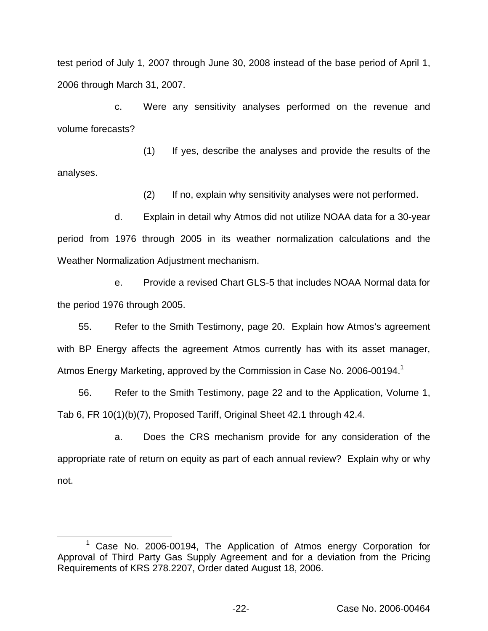test period of July 1, 2007 through June 30, 2008 instead of the base period of April 1, 2006 through March 31, 2007.

c. Were any sensitivity analyses performed on the revenue and volume forecasts?

(1) If yes, describe the analyses and provide the results of the analyses.

(2) If no, explain why sensitivity analyses were not performed.

d. Explain in detail why Atmos did not utilize NOAA data for a 30-year period from 1976 through 2005 in its weather normalization calculations and the Weather Normalization Adjustment mechanism.

e. Provide a revised Chart GLS-5 that includes NOAA Normal data for the period 1976 through 2005.

55. Refer to the Smith Testimony, page 20. Explain how Atmos's agreement with BP Energy affects the agreement Atmos currently has with its asset manager, Atmos Energy Marketing, approved by the Commission in Case No. 2006-00194.<sup>1</sup>

56. Refer to the Smith Testimony, page 22 and to the Application, Volume 1, Tab 6, FR 10(1)(b)(7), Proposed Tariff, Original Sheet 42.1 through 42.4.

a. Does the CRS mechanism provide for any consideration of the appropriate rate of return on equity as part of each annual review? Explain why or why not.

Case No. 2006-00194, The Application of Atmos energy Corporation for Approval of Third Party Gas Supply Agreement and for a deviation from the Pricing Requirements of KRS 278.2207, Order dated August 18, 2006.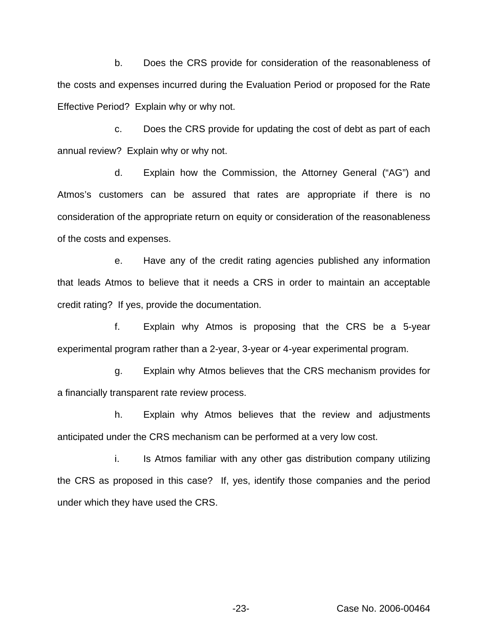b. Does the CRS provide for consideration of the reasonableness of the costs and expenses incurred during the Evaluation Period or proposed for the Rate Effective Period? Explain why or why not.

c. Does the CRS provide for updating the cost of debt as part of each annual review? Explain why or why not.

d. Explain how the Commission, the Attorney General ("AG") and Atmos's customers can be assured that rates are appropriate if there is no consideration of the appropriate return on equity or consideration of the reasonableness of the costs and expenses.

e. Have any of the credit rating agencies published any information that leads Atmos to believe that it needs a CRS in order to maintain an acceptable credit rating? If yes, provide the documentation.

f. Explain why Atmos is proposing that the CRS be a 5-year experimental program rather than a 2-year, 3-year or 4-year experimental program.

g. Explain why Atmos believes that the CRS mechanism provides for a financially transparent rate review process.

h. Explain why Atmos believes that the review and adjustments anticipated under the CRS mechanism can be performed at a very low cost.

i. Is Atmos familiar with any other gas distribution company utilizing the CRS as proposed in this case? If, yes, identify those companies and the period under which they have used the CRS.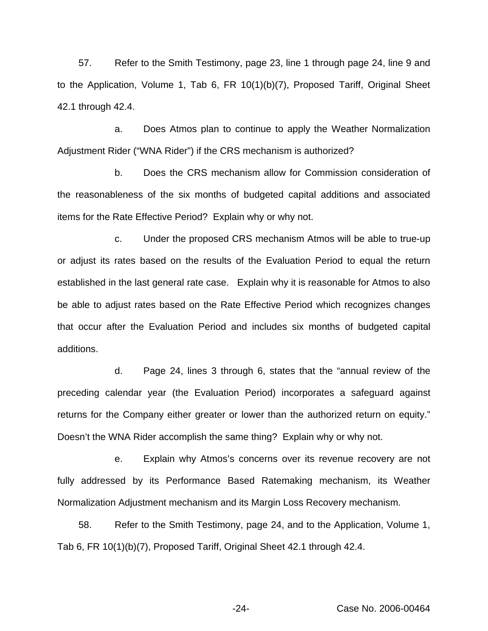57. Refer to the Smith Testimony, page 23, line 1 through page 24, line 9 and to the Application, Volume 1, Tab 6, FR 10(1)(b)(7), Proposed Tariff, Original Sheet 42.1 through 42.4.

a. Does Atmos plan to continue to apply the Weather Normalization Adjustment Rider ("WNA Rider") if the CRS mechanism is authorized?

b. Does the CRS mechanism allow for Commission consideration of the reasonableness of the six months of budgeted capital additions and associated items for the Rate Effective Period? Explain why or why not.

c. Under the proposed CRS mechanism Atmos will be able to true-up or adjust its rates based on the results of the Evaluation Period to equal the return established in the last general rate case. Explain why it is reasonable for Atmos to also be able to adjust rates based on the Rate Effective Period which recognizes changes that occur after the Evaluation Period and includes six months of budgeted capital additions.

d. Page 24, lines 3 through 6, states that the "annual review of the preceding calendar year (the Evaluation Period) incorporates a safeguard against returns for the Company either greater or lower than the authorized return on equity." Doesn't the WNA Rider accomplish the same thing? Explain why or why not.

e. Explain why Atmos's concerns over its revenue recovery are not fully addressed by its Performance Based Ratemaking mechanism, its Weather Normalization Adjustment mechanism and its Margin Loss Recovery mechanism.

58. Refer to the Smith Testimony, page 24, and to the Application, Volume 1, Tab 6, FR 10(1)(b)(7), Proposed Tariff, Original Sheet 42.1 through 42.4.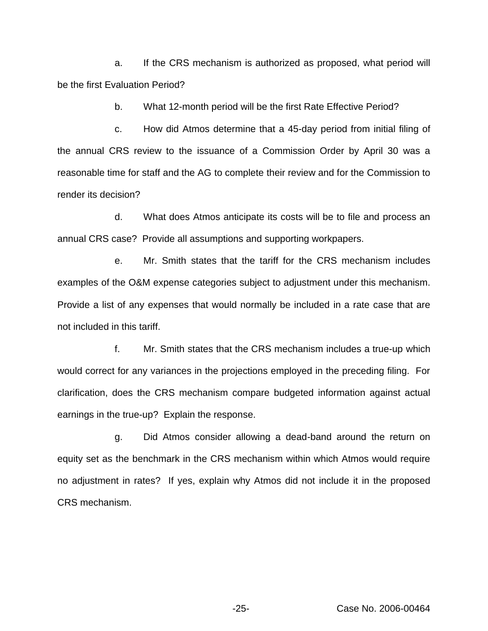a. If the CRS mechanism is authorized as proposed, what period will be the first Evaluation Period?

b. What 12-month period will be the first Rate Effective Period?

c. How did Atmos determine that a 45-day period from initial filing of the annual CRS review to the issuance of a Commission Order by April 30 was a reasonable time for staff and the AG to complete their review and for the Commission to render its decision?

d. What does Atmos anticipate its costs will be to file and process an annual CRS case? Provide all assumptions and supporting workpapers.

e. Mr. Smith states that the tariff for the CRS mechanism includes examples of the O&M expense categories subject to adjustment under this mechanism. Provide a list of any expenses that would normally be included in a rate case that are not included in this tariff.

f. Mr. Smith states that the CRS mechanism includes a true-up which would correct for any variances in the projections employed in the preceding filing. For clarification, does the CRS mechanism compare budgeted information against actual earnings in the true-up? Explain the response.

g. Did Atmos consider allowing a dead-band around the return on equity set as the benchmark in the CRS mechanism within which Atmos would require no adjustment in rates? If yes, explain why Atmos did not include it in the proposed CRS mechanism.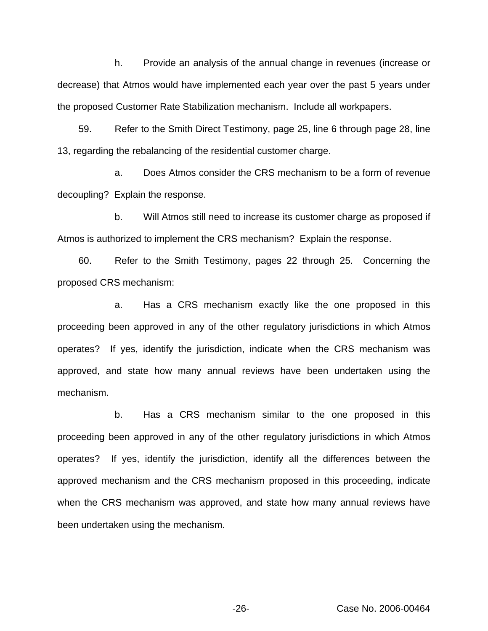h. Provide an analysis of the annual change in revenues (increase or decrease) that Atmos would have implemented each year over the past 5 years under the proposed Customer Rate Stabilization mechanism. Include all workpapers.

59. Refer to the Smith Direct Testimony, page 25, line 6 through page 28, line 13, regarding the rebalancing of the residential customer charge.

a. Does Atmos consider the CRS mechanism to be a form of revenue decoupling? Explain the response.

b. Will Atmos still need to increase its customer charge as proposed if Atmos is authorized to implement the CRS mechanism? Explain the response.

60. Refer to the Smith Testimony, pages 22 through 25. Concerning the proposed CRS mechanism:

a. Has a CRS mechanism exactly like the one proposed in this proceeding been approved in any of the other regulatory jurisdictions in which Atmos operates? If yes, identify the jurisdiction, indicate when the CRS mechanism was approved, and state how many annual reviews have been undertaken using the mechanism.

b. Has a CRS mechanism similar to the one proposed in this proceeding been approved in any of the other regulatory jurisdictions in which Atmos operates? If yes, identify the jurisdiction, identify all the differences between the approved mechanism and the CRS mechanism proposed in this proceeding, indicate when the CRS mechanism was approved, and state how many annual reviews have been undertaken using the mechanism.

-26- Case No. 2006-00464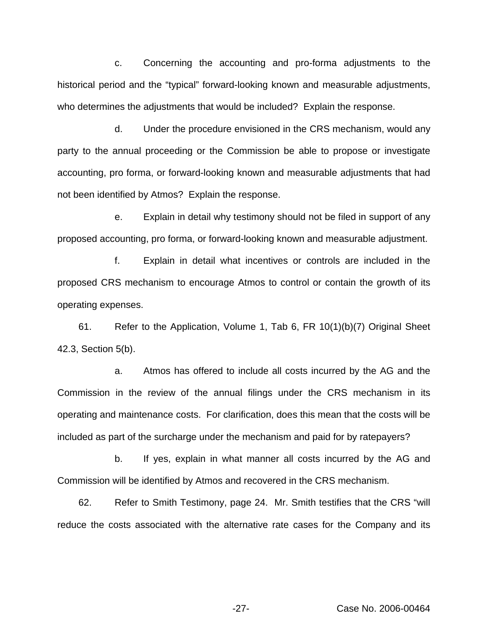c. Concerning the accounting and pro-forma adjustments to the historical period and the "typical" forward-looking known and measurable adjustments, who determines the adjustments that would be included? Explain the response.

d. Under the procedure envisioned in the CRS mechanism, would any party to the annual proceeding or the Commission be able to propose or investigate accounting, pro forma, or forward-looking known and measurable adjustments that had not been identified by Atmos? Explain the response.

e. Explain in detail why testimony should not be filed in support of any proposed accounting, pro forma, or forward-looking known and measurable adjustment.

f. Explain in detail what incentives or controls are included in the proposed CRS mechanism to encourage Atmos to control or contain the growth of its operating expenses.

61. Refer to the Application, Volume 1, Tab 6, FR 10(1)(b)(7) Original Sheet 42.3, Section 5(b).

a. Atmos has offered to include all costs incurred by the AG and the Commission in the review of the annual filings under the CRS mechanism in its operating and maintenance costs. For clarification, does this mean that the costs will be included as part of the surcharge under the mechanism and paid for by ratepayers?

b. If yes, explain in what manner all costs incurred by the AG and Commission will be identified by Atmos and recovered in the CRS mechanism.

62. Refer to Smith Testimony, page 24. Mr. Smith testifies that the CRS "will reduce the costs associated with the alternative rate cases for the Company and its

-27- Case No. 2006-00464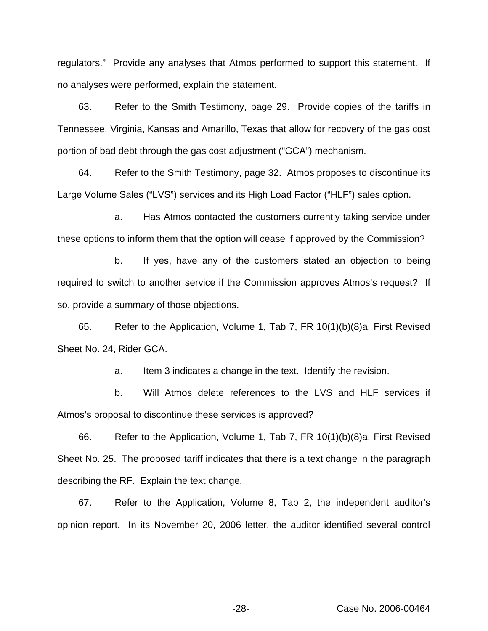regulators." Provide any analyses that Atmos performed to support this statement. If no analyses were performed, explain the statement.

63. Refer to the Smith Testimony, page 29. Provide copies of the tariffs in Tennessee, Virginia, Kansas and Amarillo, Texas that allow for recovery of the gas cost portion of bad debt through the gas cost adjustment ("GCA") mechanism.

64. Refer to the Smith Testimony, page 32. Atmos proposes to discontinue its Large Volume Sales ("LVS") services and its High Load Factor ("HLF") sales option.

a. Has Atmos contacted the customers currently taking service under these options to inform them that the option will cease if approved by the Commission?

b. If yes, have any of the customers stated an objection to being required to switch to another service if the Commission approves Atmos's request? If so, provide a summary of those objections.

65. Refer to the Application, Volume 1, Tab 7, FR 10(1)(b)(8)a, First Revised Sheet No. 24, Rider GCA.

a. Item 3 indicates a change in the text. Identify the revision.

b. Will Atmos delete references to the LVS and HLF services if Atmos's proposal to discontinue these services is approved?

66. Refer to the Application, Volume 1, Tab 7, FR 10(1)(b)(8)a, First Revised Sheet No. 25. The proposed tariff indicates that there is a text change in the paragraph describing the RF. Explain the text change.

67. Refer to the Application, Volume 8, Tab 2, the independent auditor's opinion report. In its November 20, 2006 letter, the auditor identified several control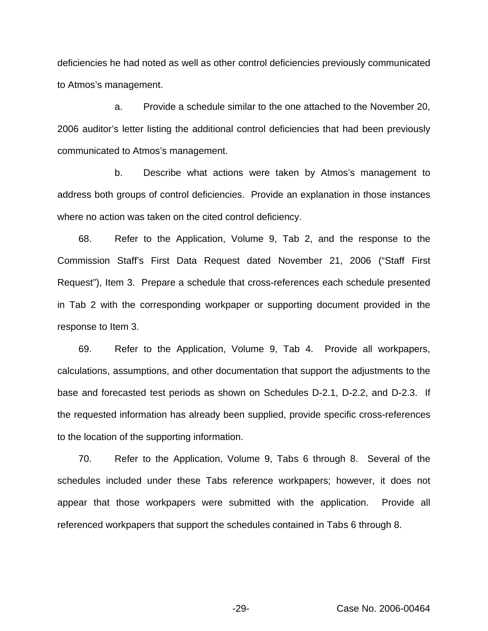deficiencies he had noted as well as other control deficiencies previously communicated to Atmos's management.

a. Provide a schedule similar to the one attached to the November 20, 2006 auditor's letter listing the additional control deficiencies that had been previously communicated to Atmos's management.

b. Describe what actions were taken by Atmos's management to address both groups of control deficiencies. Provide an explanation in those instances where no action was taken on the cited control deficiency.

68. Refer to the Application, Volume 9, Tab 2, and the response to the Commission Staff's First Data Request dated November 21, 2006 ("Staff First Request"), Item 3. Prepare a schedule that cross-references each schedule presented in Tab 2 with the corresponding workpaper or supporting document provided in the response to Item 3.

69. Refer to the Application, Volume 9, Tab 4. Provide all workpapers, calculations, assumptions, and other documentation that support the adjustments to the base and forecasted test periods as shown on Schedules D-2.1, D-2.2, and D-2.3. If the requested information has already been supplied, provide specific cross-references to the location of the supporting information.

70. Refer to the Application, Volume 9, Tabs 6 through 8. Several of the schedules included under these Tabs reference workpapers; however, it does not appear that those workpapers were submitted with the application. Provide all referenced workpapers that support the schedules contained in Tabs 6 through 8.

-29- Case No. 2006-00464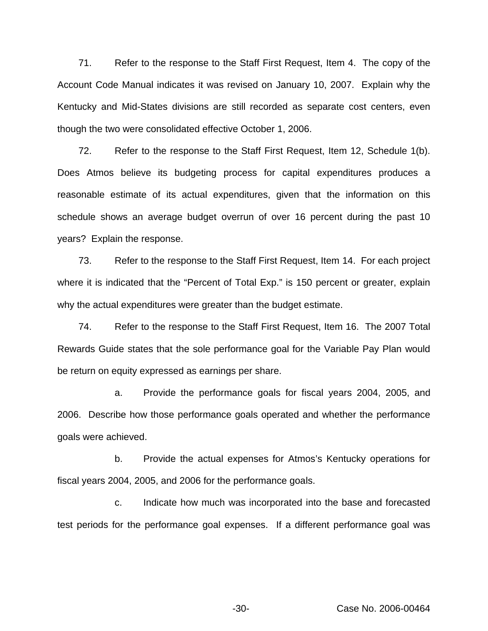71. Refer to the response to the Staff First Request, Item 4. The copy of the Account Code Manual indicates it was revised on January 10, 2007. Explain why the Kentucky and Mid-States divisions are still recorded as separate cost centers, even though the two were consolidated effective October 1, 2006.

72. Refer to the response to the Staff First Request, Item 12, Schedule 1(b). Does Atmos believe its budgeting process for capital expenditures produces a reasonable estimate of its actual expenditures, given that the information on this schedule shows an average budget overrun of over 16 percent during the past 10 years? Explain the response.

73. Refer to the response to the Staff First Request, Item 14. For each project where it is indicated that the "Percent of Total Exp." is 150 percent or greater, explain why the actual expenditures were greater than the budget estimate.

74. Refer to the response to the Staff First Request, Item 16. The 2007 Total Rewards Guide states that the sole performance goal for the Variable Pay Plan would be return on equity expressed as earnings per share.

a. Provide the performance goals for fiscal years 2004, 2005, and 2006. Describe how those performance goals operated and whether the performance goals were achieved.

b. Provide the actual expenses for Atmos's Kentucky operations for fiscal years 2004, 2005, and 2006 for the performance goals.

c. Indicate how much was incorporated into the base and forecasted test periods for the performance goal expenses. If a different performance goal was

-30- Case No. 2006-00464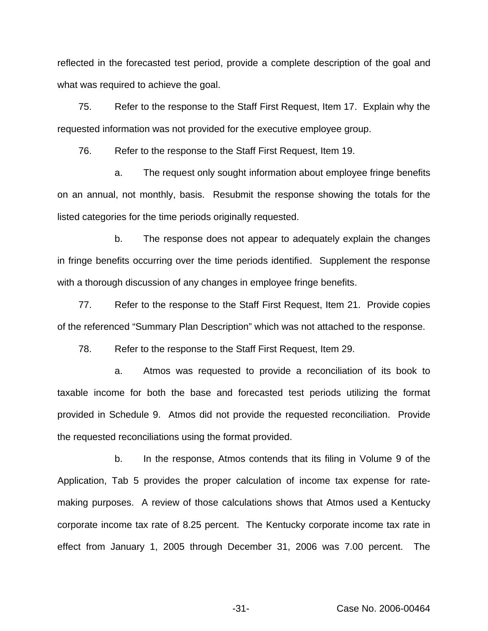reflected in the forecasted test period, provide a complete description of the goal and what was required to achieve the goal.

75. Refer to the response to the Staff First Request, Item 17. Explain why the requested information was not provided for the executive employee group.

76. Refer to the response to the Staff First Request, Item 19.

a. The request only sought information about employee fringe benefits on an annual, not monthly, basis. Resubmit the response showing the totals for the listed categories for the time periods originally requested.

b. The response does not appear to adequately explain the changes in fringe benefits occurring over the time periods identified. Supplement the response with a thorough discussion of any changes in employee fringe benefits.

77. Refer to the response to the Staff First Request, Item 21. Provide copies of the referenced "Summary Plan Description" which was not attached to the response.

78. Refer to the response to the Staff First Request, Item 29.

a. Atmos was requested to provide a reconciliation of its book to taxable income for both the base and forecasted test periods utilizing the format provided in Schedule 9. Atmos did not provide the requested reconciliation. Provide the requested reconciliations using the format provided.

b. In the response, Atmos contends that its filing in Volume 9 of the Application, Tab 5 provides the proper calculation of income tax expense for ratemaking purposes. A review of those calculations shows that Atmos used a Kentucky corporate income tax rate of 8.25 percent. The Kentucky corporate income tax rate in effect from January 1, 2005 through December 31, 2006 was 7.00 percent. The

-31- Case No. 2006-00464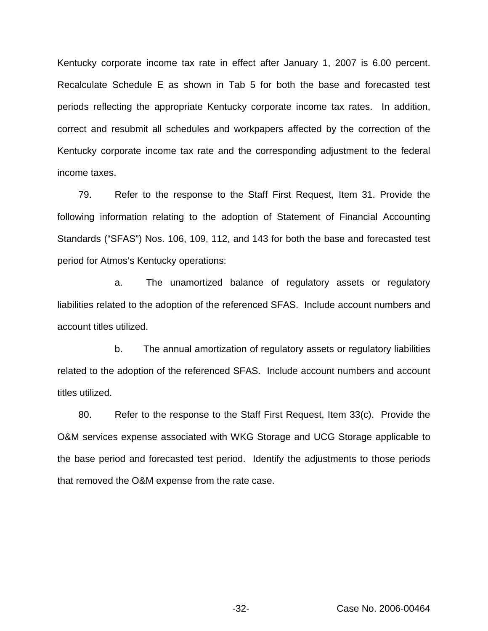Kentucky corporate income tax rate in effect after January 1, 2007 is 6.00 percent. Recalculate Schedule E as shown in Tab 5 for both the base and forecasted test periods reflecting the appropriate Kentucky corporate income tax rates. In addition, correct and resubmit all schedules and workpapers affected by the correction of the Kentucky corporate income tax rate and the corresponding adjustment to the federal income taxes.

79. Refer to the response to the Staff First Request, Item 31. Provide the following information relating to the adoption of Statement of Financial Accounting Standards ("SFAS") Nos. 106, 109, 112, and 143 for both the base and forecasted test period for Atmos's Kentucky operations:

a. The unamortized balance of regulatory assets or regulatory liabilities related to the adoption of the referenced SFAS. Include account numbers and account titles utilized.

b. The annual amortization of regulatory assets or regulatory liabilities related to the adoption of the referenced SFAS. Include account numbers and account titles utilized.

80. Refer to the response to the Staff First Request, Item 33(c). Provide the O&M services expense associated with WKG Storage and UCG Storage applicable to the base period and forecasted test period. Identify the adjustments to those periods that removed the O&M expense from the rate case.

-32- Case No. 2006-00464